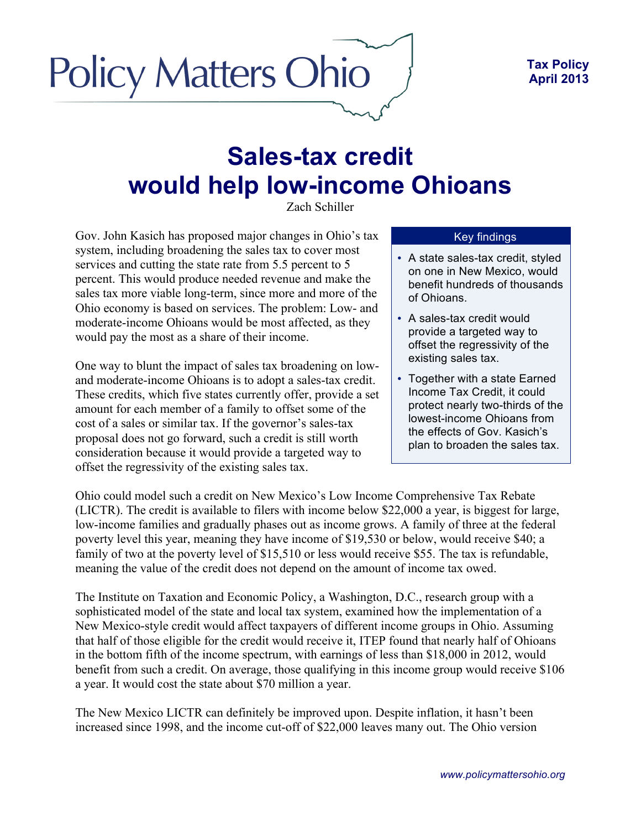## **Policy Matters Ohio**

## **Sales-tax credit would help low-income Ohioans**

Zach Schiller

Gov. John Kasich has proposed major changes in Ohio's tax system, including broadening the sales tax to cover most services and cutting the state rate from 5.5 percent to 5 percent. This would produce needed revenue and make the sales tax more viable long-term, since more and more of the Ohio economy is based on services. The problem: Low- and moderate-income Ohioans would be most affected, as they would pay the most as a share of their income.

One way to blunt the impact of sales tax broadening on lowand moderate-income Ohioans is to adopt a sales-tax credit. These credits, which five states currently offer, provide a set amount for each member of a family to offset some of the cost of a sales or similar tax. If the governor's sales-tax proposal does not go forward, such a credit is still worth consideration because it would provide a targeted way to offset the regressivity of the existing sales tax.

## Key findings

- A state sales-tax credit, styled on one in New Mexico, would benefit hundreds of thousands of Ohioans.
- A sales-tax credit would provide a targeted way to offset the regressivity of the existing sales tax.
- Together with a state Earned Income Tax Credit, it could protect nearly two-thirds of the lowest-income Ohioans from the effects of Gov. Kasich's plan to broaden the sales tax.

Ohio could model such a credit on New Mexico's Low Income Comprehensive Tax Rebate (LICTR). The credit is available to filers with income below \$22,000 a year, is biggest for large, low-income families and gradually phases out as income grows. A family of three at the federal poverty level this year, meaning they have income of \$19,530 or below, would receive \$40; a family of two at the poverty level of \$15,510 or less would receive \$55. The tax is refundable, meaning the value of the credit does not depend on the amount of income tax owed.

The Institute on Taxation and Economic Policy, a Washington, D.C., research group with a sophisticated model of the state and local tax system, examined how the implementation of a New Mexico-style credit would affect taxpayers of different income groups in Ohio. Assuming that half of those eligible for the credit would receive it, ITEP found that nearly half of Ohioans in the bottom fifth of the income spectrum, with earnings of less than \$18,000 in 2012, would benefit from such a credit. On average, those qualifying in this income group would receive \$106 a year. It would cost the state about \$70 million a year.

The New Mexico LICTR can definitely be improved upon. Despite inflation, it hasn't been increased since 1998, and the income cut-off of \$22,000 leaves many out. The Ohio version